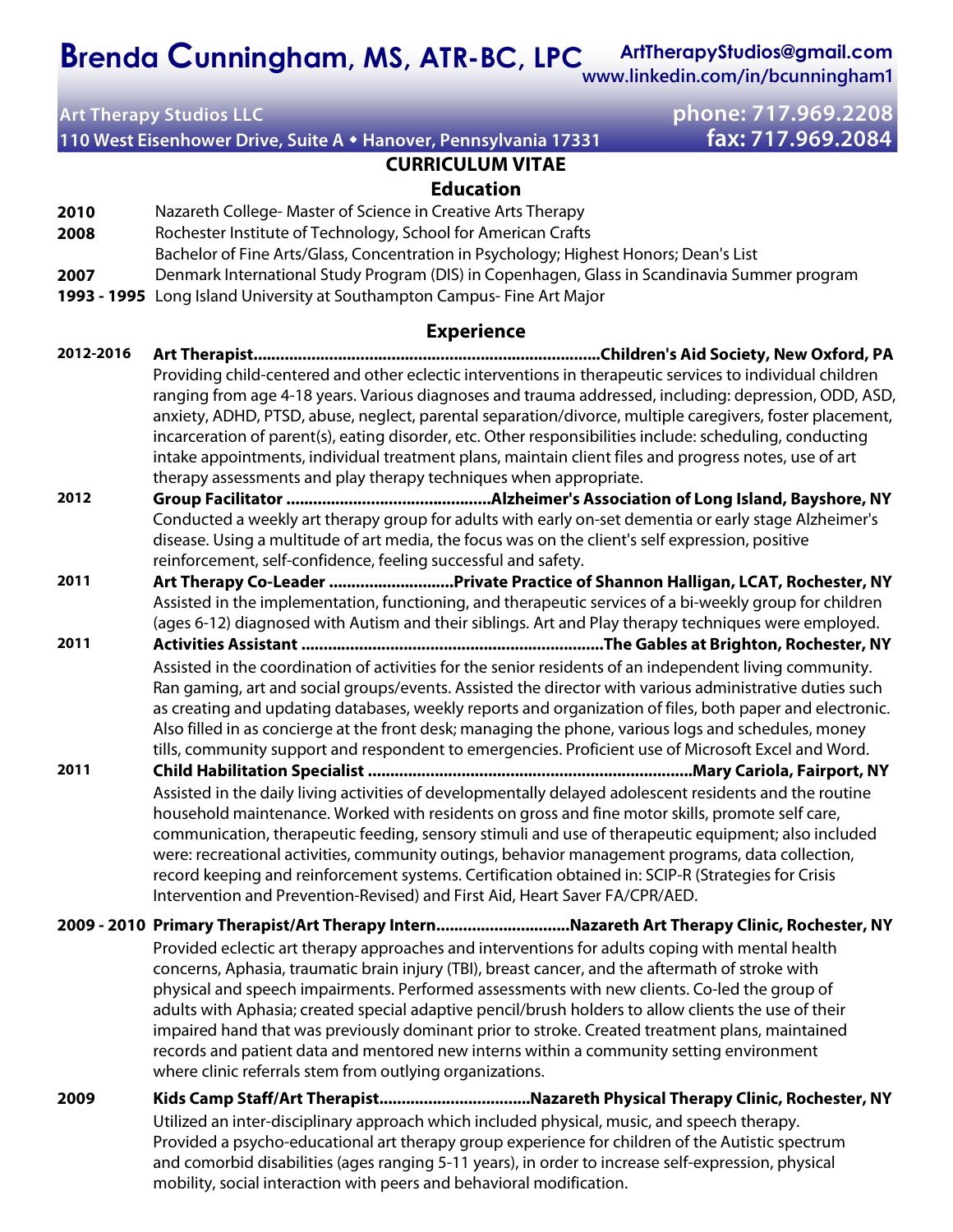**ArtTherapyStudios@gmail.com Brenda Cunningham, MS, ATR-BC, LPC**

**www.linkedin.com/in/bcunningham1**

**110 West Eisenhower Drive, Suite A Hanover, Pennsylvania 17331 fax: 717.969.2084** 

## **Art Therapy Studios LLC phone: 717.969.2208**

## **CURRICULUM VITAE Education**

- **2010** Nazareth College- Master of Science in Creative Arts Therapy
- **2008** Rochester Institute of Technology, School for American Crafts
	- Bachelor of Fine Arts/Glass, Concentration in Psychology; Highest Honors; Dean's List
- **2007** Denmark International Study Program (DIS) in Copenhagen, Glass in Scandinavia Summer program
- **1993 1995** Long Island University at Southampton Campus- Fine Art Major

## **Experience**

- **2012-2016 Art Therapist..............................................................................Children's Aid Society, New Oxford, PA** Providing child-centered and other eclectic interventions in therapeutic services to individual children ranging from age 4-18 years. Various diagnoses and trauma addressed, including: depression, ODD, ASD, anxiety, ADHD, PTSD, abuse, neglect, parental separation/divorce, multiple caregivers, foster placement, incarceration of parent(s), eating disorder, etc. Other responsibilities include: scheduling, conducting intake appointments, individual treatment plans, maintain client files and progress notes, use of art therapy assessments and play therapy techniques when appropriate.
- **2012 Group Facilitator ..............................................Alzheimer's Association of Long Island, Bayshore, NY**  Conducted a weekly art therapy group for adults with early on-set dementia or early stage Alzheimer's disease. Using a multitude of art media, the focus was on the client's self expression, positive reinforcement, self-confidence, feeling successful and safety.
- **2011 Art Therapy Co-Leader ............................Private Practice of Shannon Halligan, LCAT, Rochester, NY**  Assisted in the implementation, functioning, and therapeutic services of a bi-weekly group for children (ages 6-12) diagnosed with Autism and their siblings. Art and Play therapy techniques were employed.
- **2011 Activities Assistant ....................................................................The Gables at Brighton, Rochester, NY**  Assisted in the coordination of activities for the senior residents of an independent living community. Ran gaming, art and social groups/events. Assisted the director with various administrative duties such as creating and updating databases, weekly reports and organization of files, both paper and electronic. Also filled in as concierge at the front desk; managing the phone, various logs and schedules, money tills, community support and respondent to emergencies. Proficient use of Microsoft Excel and Word.
- **2011 Child Habilitation Specialist .........................................................................Mary Cariola, Fairport, NY** Assisted in the daily living activities of developmentally delayed adolescent residents and the routine household maintenance. Worked with residents on gross and fine motor skills, promote self care, communication, therapeutic feeding, sensory stimuli and use of therapeutic equipment; also included were: recreational activities, community outings, behavior management programs, data collection, record keeping and reinforcement systems. Certification obtained in: SCIP-R (Strategies for Crisis Intervention and Prevention-Revised) and First Aid, Heart Saver FA/CPR/AED.
- **2009 2010 Primary Therapist/Art Therapy Intern..............................Nazareth Art Therapy Clinic, Rochester, NY** Provided eclectic art therapy approaches and interventions for adults coping with mental health concerns, Aphasia, traumatic brain injury (TBI), breast cancer, and the aftermath of stroke with physical and speech impairments. Performed assessments with new clients. Co-led the group of adults with Aphasia; created special adaptive pencil/brush holders to allow clients the use of their impaired hand that was previously dominant prior to stroke. Created treatment plans, maintained records and patient data and mentored new interns within a community setting environment where clinic referrals stem from outlying organizations.
- **2009 Kids Camp Staff/Art Therapist..................................Nazareth Physical Therapy Clinic, Rochester, NY** Utilized an inter-disciplinary approach which included physical, music, and speech therapy. Provided a psycho-educational art therapy group experience for children of the Autistic spectrum and comorbid disabilities (ages ranging 5-11 years), in order to increase self-expression, physical mobility, social interaction with peers and behavioral modification.